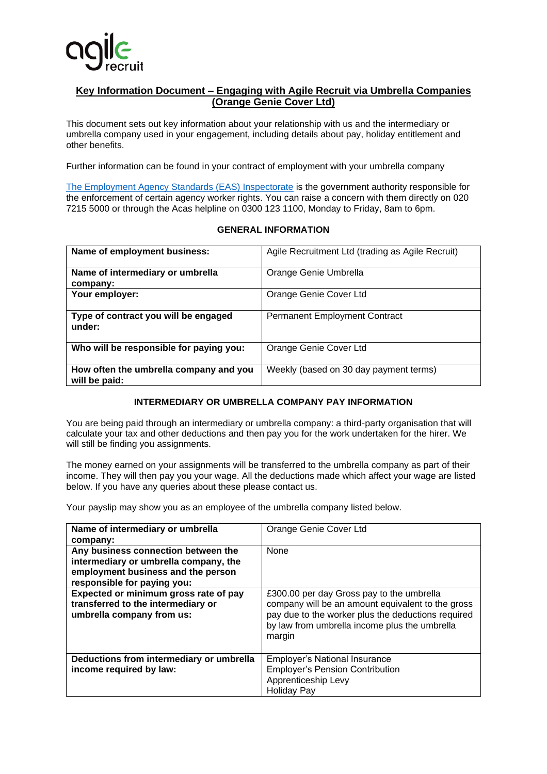

## **Key Information Document – Engaging with Agile Recruit via Umbrella Companies (Orange Genie Cover Ltd)**

This document sets out key information about your relationship with us and the intermediary or umbrella company used in your engagement, including details about pay, holiday entitlement and other benefits.

Further information can be found in your contract of employment with your umbrella company

[The Employment Agency Standards \(EAS\) Inspectorate](https://www.gov.uk/government/organisations/employment-agency-standards-inspectorate) is the government authority responsible for the enforcement of certain agency worker rights. You can raise a concern with them directly on 020 7215 5000 or through the Acas helpline on 0300 123 1100, Monday to Friday, 8am to 6pm.

## **GENERAL INFORMATION**

| Name of employment business:                            | Agile Recruitment Ltd (trading as Agile Recruit) |
|---------------------------------------------------------|--------------------------------------------------|
| Name of intermediary or umbrella<br>company:            | Orange Genie Umbrella                            |
| Your employer:                                          | Orange Genie Cover Ltd                           |
| Type of contract you will be engaged<br>under:          | <b>Permanent Employment Contract</b>             |
| Who will be responsible for paying you:                 | Orange Genie Cover Ltd                           |
| How often the umbrella company and you<br>will be paid: | Weekly (based on 30 day payment terms)           |

## **INTERMEDIARY OR UMBRELLA COMPANY PAY INFORMATION**

You are being paid through an intermediary or umbrella company: a third-party organisation that will calculate your tax and other deductions and then pay you for the work undertaken for the hirer. We will still be finding you assignments.

The money earned on your assignments will be transferred to the umbrella company as part of their income. They will then pay you your wage. All the deductions made which affect your wage are listed below. If you have any queries about these please contact us.

Your payslip may show you as an employee of the umbrella company listed below.

| Name of intermediary or umbrella<br>company:                                                                                                      | Orange Genie Cover Ltd                                                                                                                                                                                          |
|---------------------------------------------------------------------------------------------------------------------------------------------------|-----------------------------------------------------------------------------------------------------------------------------------------------------------------------------------------------------------------|
| Any business connection between the<br>intermediary or umbrella company, the<br>employment business and the person<br>responsible for paying you: | None                                                                                                                                                                                                            |
| Expected or minimum gross rate of pay<br>transferred to the intermediary or<br>umbrella company from us:                                          | £300.00 per day Gross pay to the umbrella<br>company will be an amount equivalent to the gross<br>pay due to the worker plus the deductions required<br>by law from umbrella income plus the umbrella<br>margin |
| Deductions from intermediary or umbrella<br>income required by law:                                                                               | <b>Employer's National Insurance</b><br><b>Employer's Pension Contribution</b><br>Apprenticeship Levy<br><b>Holiday Pay</b>                                                                                     |